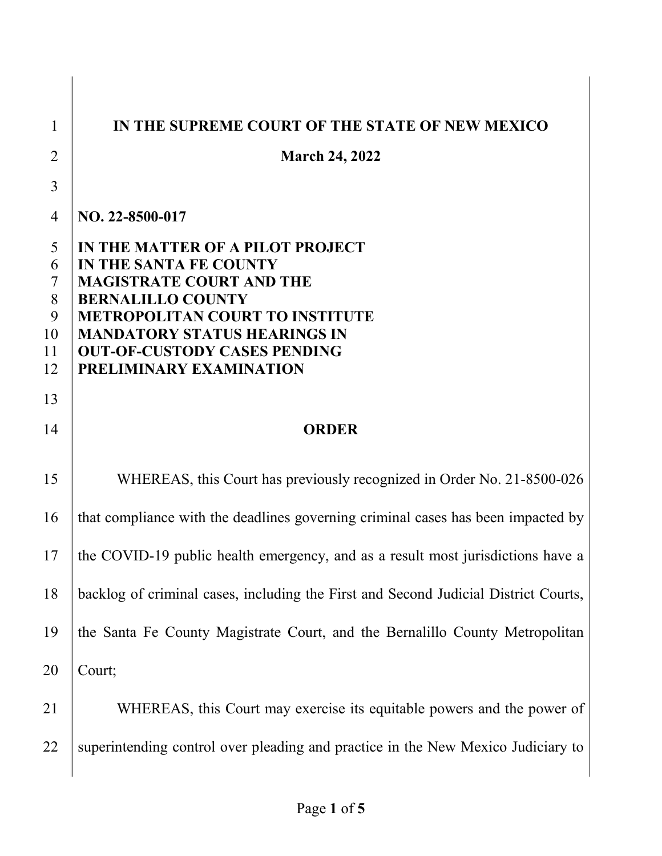| 1                                       | IN THE SUPREME COURT OF THE STATE OF NEW MEXICO                                                                                                                                                                                                                              |
|-----------------------------------------|------------------------------------------------------------------------------------------------------------------------------------------------------------------------------------------------------------------------------------------------------------------------------|
| 2                                       | <b>March 24, 2022</b>                                                                                                                                                                                                                                                        |
| 3                                       |                                                                                                                                                                                                                                                                              |
| $\overline{4}$                          | NO. 22-8500-017                                                                                                                                                                                                                                                              |
| 5<br>6<br>7<br>8<br>9<br>10<br>11<br>12 | IN THE MATTER OF A PILOT PROJECT<br>IN THE SANTA FE COUNTY<br><b>MAGISTRATE COURT AND THE</b><br><b>BERNALILLO COUNTY</b><br><b>METROPOLITAN COURT TO INSTITUTE</b><br><b>MANDATORY STATUS HEARINGS IN</b><br><b>OUT-OF-CUSTODY CASES PENDING</b><br>PRELIMINARY EXAMINATION |
| 13                                      |                                                                                                                                                                                                                                                                              |
| 14                                      | <b>ORDER</b>                                                                                                                                                                                                                                                                 |
| 15                                      | WHEREAS, this Court has previously recognized in Order No. 21-8500-026                                                                                                                                                                                                       |
| 16                                      | that compliance with the deadlines governing criminal cases has been impacted by                                                                                                                                                                                             |
| 17                                      | the COVID-19 public health emergency, and as a result most jurisdictions have a                                                                                                                                                                                              |
| 18                                      | backlog of criminal cases, including the First and Second Judicial District Courts,                                                                                                                                                                                          |
| 19                                      | the Santa Fe County Magistrate Court, and the Bernalillo County Metropolitan                                                                                                                                                                                                 |
| 20                                      | Court;                                                                                                                                                                                                                                                                       |
| 21                                      | WHEREAS, this Court may exercise its equitable powers and the power of                                                                                                                                                                                                       |
| 22                                      | superintending control over pleading and practice in the New Mexico Judiciary to                                                                                                                                                                                             |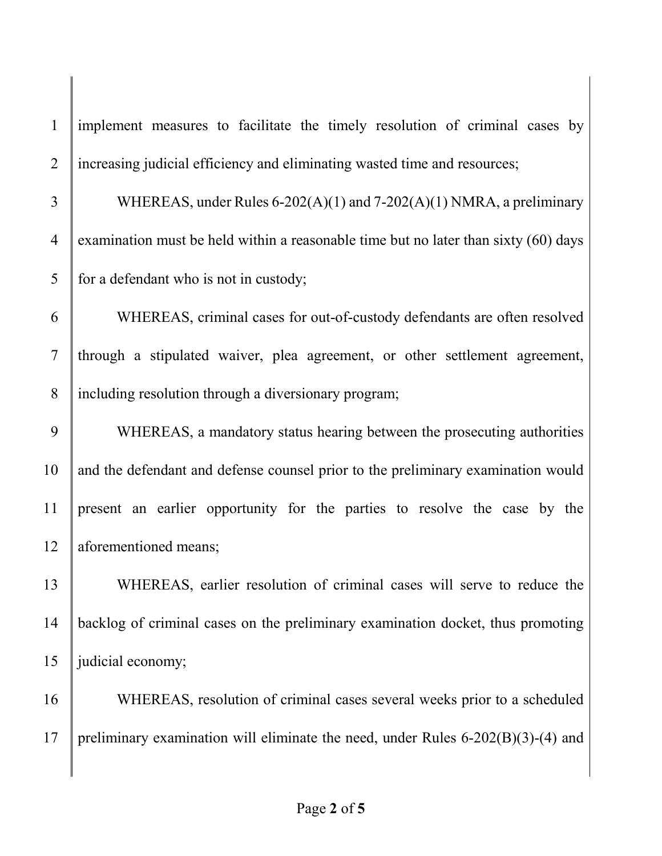1 implement measures to facilitate the timely resolution of criminal cases by 2 increasing judicial efficiency and eliminating wasted time and resources;

3 WHEREAS, under Rules  $6-202(A)(1)$  and  $7-202(A)(1)$  NMRA, a preliminary 4 examination must be held within a reasonable time but no later than sixty (60) days  $5 \parallel$  for a defendant who is not in custody;

6 WHEREAS, criminal cases for out-of-custody defendants are often resolved 7 through a stipulated waiver, plea agreement, or other settlement agreement, 8 including resolution through a diversionary program;

9 WHEREAS, a mandatory status hearing between the prosecuting authorities 10 and the defendant and defense counsel prior to the preliminary examination would 11 present an earlier opportunity for the parties to resolve the case by the 12 aforementioned means;

13 WHEREAS, earlier resolution of criminal cases will serve to reduce the 14 backlog of criminal cases on the preliminary examination docket, thus promoting 15  $\parallel$  judicial economy;

16 WHEREAS, resolution of criminal cases several weeks prior to a scheduled 17 preliminary examination will eliminate the need, under Rules  $6-202(B)(3)-(4)$  and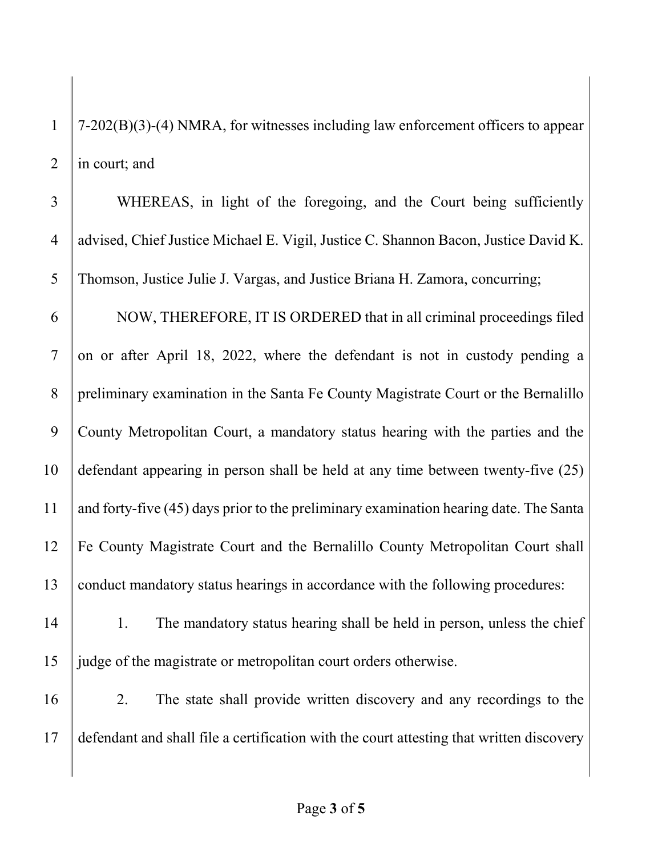1  $\int$  7-202(B)(3)-(4) NMRA, for witnesses including law enforcement officers to appear 2  $\parallel$  in court; and

| $\overline{3}$ | WHEREAS, in light of the foregoing, and the Court being sufficiently                     |
|----------------|------------------------------------------------------------------------------------------|
| $\overline{4}$ | advised, Chief Justice Michael E. Vigil, Justice C. Shannon Bacon, Justice David K.      |
| 5              | Thomson, Justice Julie J. Vargas, and Justice Briana H. Zamora, concurring;              |
| 6              | NOW, THEREFORE, IT IS ORDERED that in all criminal proceedings filed                     |
| $\overline{7}$ | on or after April 18, 2022, where the defendant is not in custody pending a              |
| 8              | preliminary examination in the Santa Fe County Magistrate Court or the Bernalillo        |
| 9              | County Metropolitan Court, a mandatory status hearing with the parties and the           |
| 10             | defendant appearing in person shall be held at any time between twenty-five (25)         |
| 11             | and forty-five (45) days prior to the preliminary examination hearing date. The Santa    |
| 12             | Fe County Magistrate Court and the Bernalillo County Metropolitan Court shall            |
| 13             | conduct mandatory status hearings in accordance with the following procedures:           |
| 14             | The mandatory status hearing shall be held in person, unless the chief<br>1.             |
| 15             | judge of the magistrate or metropolitan court orders otherwise.                          |
| 16             | The state shall provide written discovery and any recordings to the<br>2.                |
| 17             | defendant and shall file a certification with the court attesting that written discovery |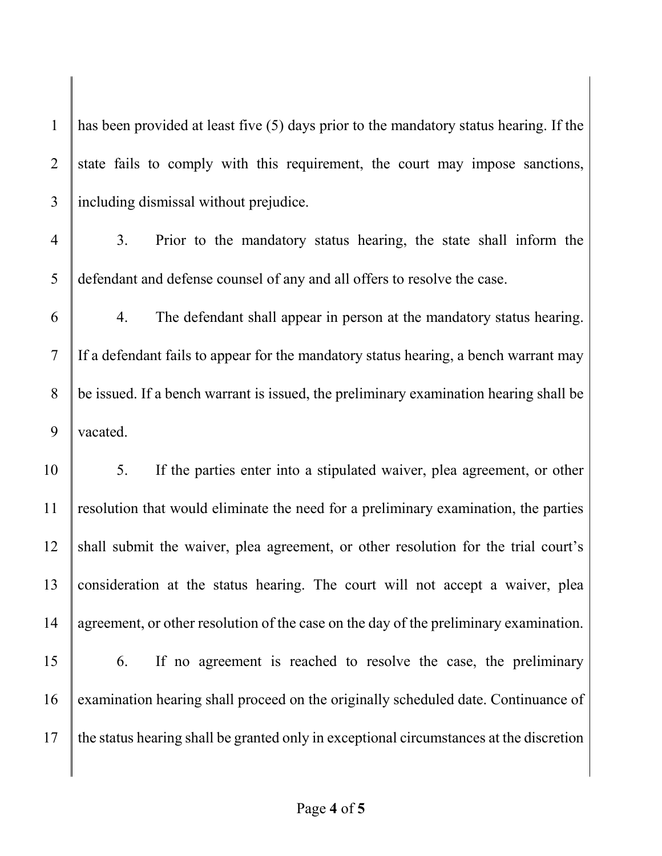1 has been provided at least five  $(5)$  days prior to the mandatory status hearing. If the 2 state fails to comply with this requirement, the court may impose sanctions, 3 including dismissal without prejudice. 4 3. Prior to the mandatory status hearing, the state shall inform the 5 defendant and defense counsel of any and all offers to resolve the case. 6 4. The defendant shall appear in person at the mandatory status hearing.  $7 \parallel$  If a defendant fails to appear for the mandatory status hearing, a bench warrant may  $8 \parallel$  be issued. If a bench warrant is issued, the preliminary examination hearing shall be 9 vacated. 10 5. If the parties enter into a stipulated waiver, plea agreement, or other  $11$  resolution that would eliminate the need for a preliminary examination, the parties 12 shall submit the waiver, plea agreement, or other resolution for the trial court's 13 consideration at the status hearing. The court will not accept a waiver, plea 14 agreement, or other resolution of the case on the day of the preliminary examination. 15 6. If no agreement is reached to resolve the case, the preliminary 16 examination hearing shall proceed on the originally scheduled date. Continuance of  $17$  the status hearing shall be granted only in exceptional circumstances at the discretion